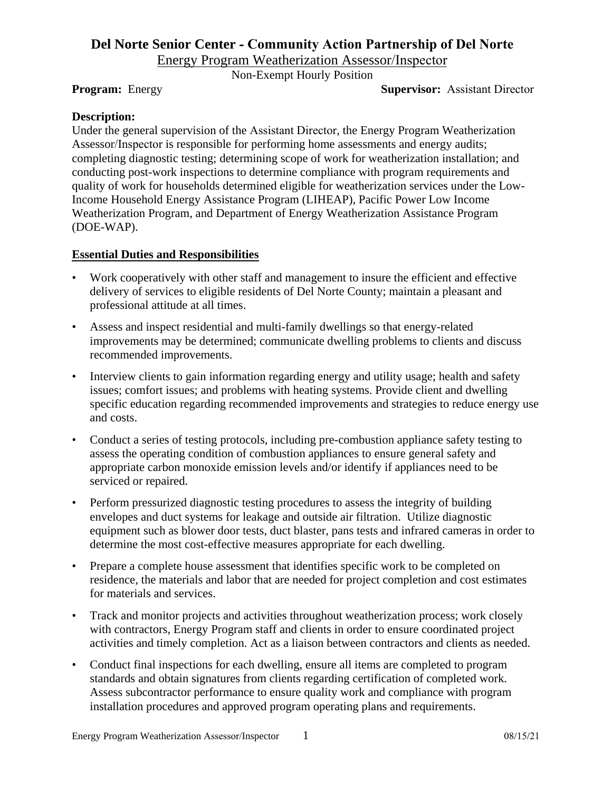# **Del Norte Senior Center - Community Action Partnership of Del Norte**

Energy Program Weatherization Assessor/Inspector

Non-Exempt Hourly Position

**Program:** Energy **Supervisor:** Assistant Director

#### **Description:**

Under the general supervision of the Assistant Director, the Energy Program Weatherization Assessor/Inspector is responsible for performing home assessments and energy audits; completing diagnostic testing; determining scope of work for weatherization installation; and conducting post-work inspections to determine compliance with program requirements and quality of work for households determined eligible for weatherization services under the Low-Income Household Energy Assistance Program (LIHEAP), Pacific Power Low Income Weatherization Program, and Department of Energy Weatherization Assistance Program (DOE-WAP).

#### **Essential Duties and Responsibilities**

- Work cooperatively with other staff and management to insure the efficient and effective delivery of services to eligible residents of Del Norte County; maintain a pleasant and professional attitude at all times.
- Assess and inspect residential and multi-family dwellings so that energy-related improvements may be determined; communicate dwelling problems to clients and discuss recommended improvements.
- Interview clients to gain information regarding energy and utility usage; health and safety issues; comfort issues; and problems with heating systems. Provide client and dwelling specific education regarding recommended improvements and strategies to reduce energy use and costs.
- Conduct a series of testing protocols, including pre-combustion appliance safety testing to assess the operating condition of combustion appliances to ensure general safety and appropriate carbon monoxide emission levels and/or identify if appliances need to be serviced or repaired.
- Perform pressurized diagnostic testing procedures to assess the integrity of building envelopes and duct systems for leakage and outside air filtration. Utilize diagnostic equipment such as blower door tests, duct blaster, pans tests and infrared cameras in order to determine the most cost-effective measures appropriate for each dwelling.
- Prepare a complete house assessment that identifies specific work to be completed on residence, the materials and labor that are needed for project completion and cost estimates for materials and services.
- Track and monitor projects and activities throughout weatherization process; work closely with contractors, Energy Program staff and clients in order to ensure coordinated project activities and timely completion. Act as a liaison between contractors and clients as needed.
- Conduct final inspections for each dwelling, ensure all items are completed to program standards and obtain signatures from clients regarding certification of completed work. Assess subcontractor performance to ensure quality work and compliance with program installation procedures and approved program operating plans and requirements.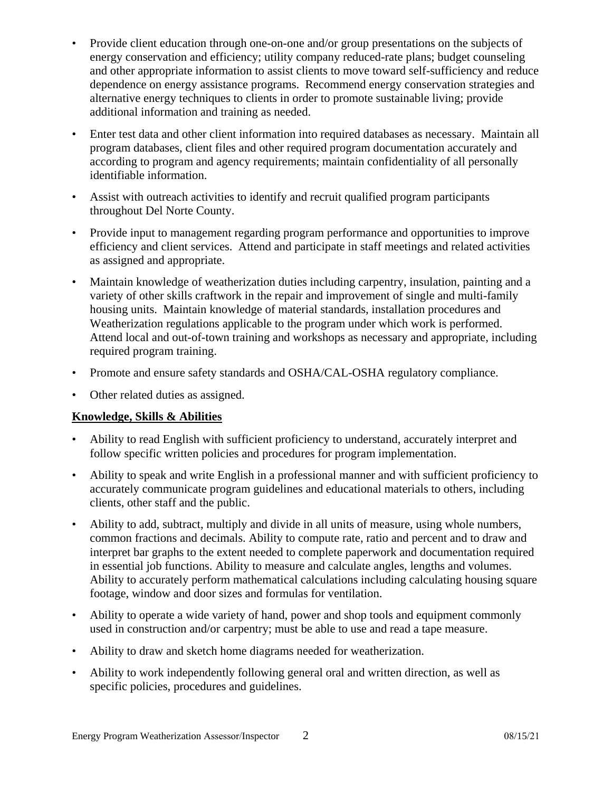- Provide client education through one-on-one and/or group presentations on the subjects of energy conservation and efficiency; utility company reduced-rate plans; budget counseling and other appropriate information to assist clients to move toward self-sufficiency and reduce dependence on energy assistance programs. Recommend energy conservation strategies and alternative energy techniques to clients in order to promote sustainable living; provide additional information and training as needed.
- Enter test data and other client information into required databases as necessary. Maintain all program databases, client files and other required program documentation accurately and according to program and agency requirements; maintain confidentiality of all personally identifiable information.
- Assist with outreach activities to identify and recruit qualified program participants throughout Del Norte County.
- Provide input to management regarding program performance and opportunities to improve efficiency and client services. Attend and participate in staff meetings and related activities as assigned and appropriate.
- Maintain knowledge of weatherization duties including carpentry, insulation, painting and a variety of other skills craftwork in the repair and improvement of single and multi-family housing units. Maintain knowledge of material standards, installation procedures and Weatherization regulations applicable to the program under which work is performed. Attend local and out-of-town training and workshops as necessary and appropriate, including required program training.
- Promote and ensure safety standards and OSHA/CAL-OSHA regulatory compliance.
- Other related duties as assigned.

## **Knowledge, Skills & Abilities**

- Ability to read English with sufficient proficiency to understand, accurately interpret and follow specific written policies and procedures for program implementation.
- Ability to speak and write English in a professional manner and with sufficient proficiency to accurately communicate program guidelines and educational materials to others, including clients, other staff and the public.
- Ability to add, subtract, multiply and divide in all units of measure, using whole numbers, common fractions and decimals. Ability to compute rate, ratio and percent and to draw and interpret bar graphs to the extent needed to complete paperwork and documentation required in essential job functions. Ability to measure and calculate angles, lengths and volumes. Ability to accurately perform mathematical calculations including calculating housing square footage, window and door sizes and formulas for ventilation.
- Ability to operate a wide variety of hand, power and shop tools and equipment commonly used in construction and/or carpentry; must be able to use and read a tape measure.
- Ability to draw and sketch home diagrams needed for weatherization.
- Ability to work independently following general oral and written direction, as well as specific policies, procedures and guidelines.